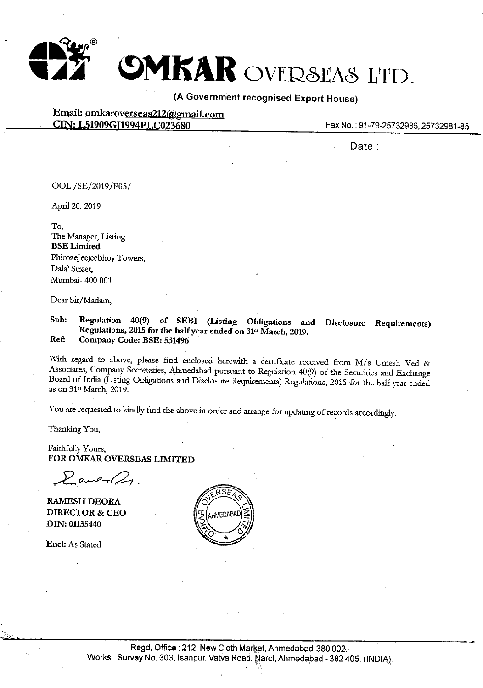

**DMKAR** OVERSEAS LTD.

**(A** Government recognised Export House)

Email: omkaroverseas212@gmail.com **CIN:** L51909GJ1994PLC023680

Fax No.: 91-79-25732986,25732981-85

**Date:** 

OOL /SE/2019/P0S/

April 20, 2019

To, The Manager, Listing **BSELimited**  PhirozeJeejeebhoy Towers, Dalal Street, Mumbai- 400 001

Dear Sir/Madam,

**Sub: Regulation 40(9) of SEBI (Listing Obligations and Disclosure Requirements) Regulations, 2015 for the half year ended on 31" March, 2019. Ref: Company Code: BSE: 531496** 

With regard to above, please find enclosed herewith a certificate received from M/s Umesh Ved & Associates, Company Secretaries, Ahmedabad pursuant to Regulation 40(9) of the Securities and Exchange Board of India (Listing Obligations and Disclosure Requirements) Regulations, 2015 for the half year ended as on 31" March, 2019.

You are requested to kindly find the above in order and arrange for updating of records accordingly.

Thanking You,

Faithfully Yours, **FOR OMKAR OVERSEAS LIMITED** 

 $P$  ane  $Q_1$ 

**RAMESH DEORA DIRECTOR** & **CEO DIN: 01135440** 

Encl: As Stated